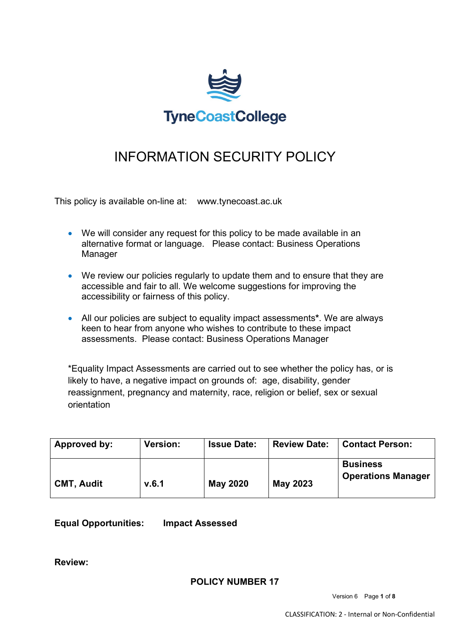

# INFORMATION SECURITY POLICY

This policy is available on-line at: www.tynecoast.ac.uk

- We will consider any request for this policy to be made available in an alternative format or language. Please contact: Business Operations Manager
- We review our policies regularly to update them and to ensure that they are accessible and fair to all. We welcome suggestions for improving the accessibility or fairness of this policy.
- All our policies are subject to equality impact assessments**\***. We are always keen to hear from anyone who wishes to contribute to these impact assessments. Please contact: Business Operations Manager

\*Equality Impact Assessments are carried out to see whether the policy has, or is likely to have, a negative impact on grounds of: age, disability, gender reassignment, pregnancy and maternity, race, religion or belief, sex or sexual orientation

| Approved by:      | <b>Version:</b> | <b>Issue Date:</b> | <b>Review Date:</b> | <b>Contact Person:</b>                       |
|-------------------|-----------------|--------------------|---------------------|----------------------------------------------|
| <b>CMT, Audit</b> | V.6.1           | <b>May 2020</b>    | May 2023            | <b>Business</b><br><b>Operations Manager</b> |

**Equal Opportunities: Impact Assessed**

**Review:**

**POLICY NUMBER 17**

Version 6 Page **1** of **8**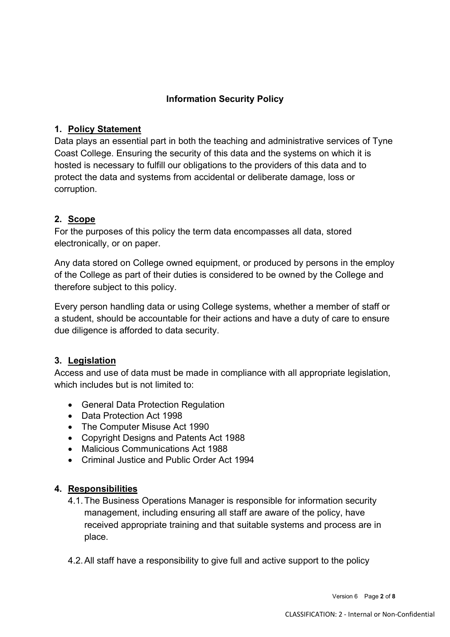## **Information Security Policy**

### **1. Policy Statement**

Data plays an essential part in both the teaching and administrative services of Tyne Coast College. Ensuring the security of this data and the systems on which it is hosted is necessary to fulfill our obligations to the providers of this data and to protect the data and systems from accidental or deliberate damage, loss or corruption.

## **2. Scope**

For the purposes of this policy the term data encompasses all data, stored electronically, or on paper.

Any data stored on College owned equipment, or produced by persons in the employ of the College as part of their duties is considered to be owned by the College and therefore subject to this policy.

Every person handling data or using College systems, whether a member of staff or a student, should be accountable for their actions and have a duty of care to ensure due diligence is afforded to data security.

## **3. Legislation**

Access and use of data must be made in compliance with all appropriate legislation, which includes but is not limited to:

- General Data Protection Regulation
- Data Protection Act 1998
- The Computer Misuse Act 1990
- Copyright Designs and Patents Act 1988
- Malicious Communications Act 1988
- Criminal Justice and Public Order Act 1994

## **4. Responsibilities**

- 4.1.The Business Operations Manager is responsible for information security management, including ensuring all staff are aware of the policy, have received appropriate training and that suitable systems and process are in place.
- 4.2.All staff have a responsibility to give full and active support to the policy

Version 6 Page **2** of **8**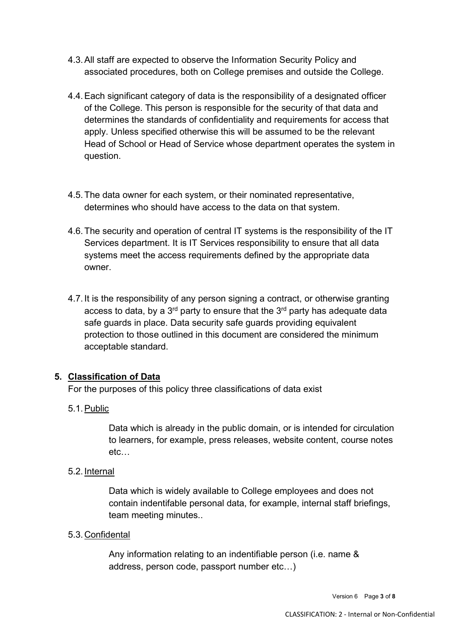- 4.3.All staff are expected to observe the Information Security Policy and associated procedures, both on College premises and outside the College.
- 4.4.Each significant category of data is the responsibility of a designated officer of the College. This person is responsible for the security of that data and determines the standards of confidentiality and requirements for access that apply. Unless specified otherwise this will be assumed to be the relevant Head of School or Head of Service whose department operates the system in question.
- 4.5.The data owner for each system, or their nominated representative, determines who should have access to the data on that system.
- 4.6.The security and operation of central IT systems is the responsibility of the IT Services department. It is IT Services responsibility to ensure that all data systems meet the access requirements defined by the appropriate data owner.
- 4.7.It is the responsibility of any person signing a contract, or otherwise granting access to data, by a  $3<sup>rd</sup>$  party to ensure that the  $3<sup>rd</sup>$  party has adequate data safe guards in place. Data security safe guards providing equivalent protection to those outlined in this document are considered the minimum acceptable standard.

## **5. Classification of Data**

For the purposes of this policy three classifications of data exist

5.1.Public

Data which is already in the public domain, or is intended for circulation to learners, for example, press releases, website content, course notes etc…

5.2.Internal

Data which is widely available to College employees and does not contain indentifable personal data, for example, internal staff briefings, team meeting minutes..

5.3.Confidental

Any information relating to an indentifiable person (i.e. name & address, person code, passport number etc…)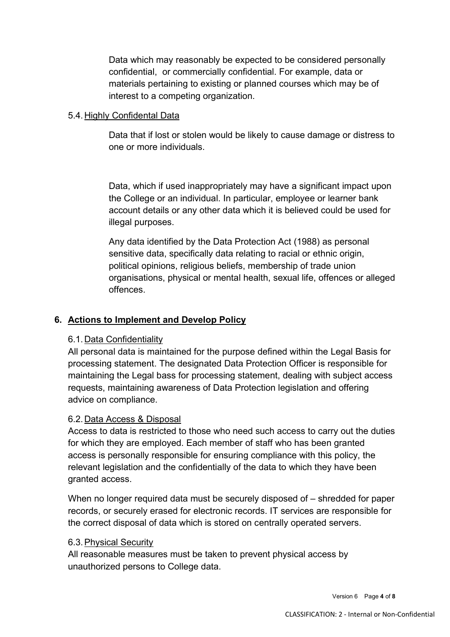Data which may reasonably be expected to be considered personally confidential, or commercially confidential. For example, data or materials pertaining to existing or planned courses which may be of interest to a competing organization.

#### 5.4.Highly Confidental Data

Data that if lost or stolen would be likely to cause damage or distress to one or more individuals.

Data, which if used inappropriately may have a significant impact upon the College or an individual. In particular, employee or learner bank account details or any other data which it is believed could be used for illegal purposes.

Any data identified by the Data Protection Act (1988) as personal sensitive data, specifically data relating to racial or ethnic origin, political opinions, religious beliefs, membership of trade union organisations, physical or mental health, sexual life, offences or alleged offences.

## **6. Actions to Implement and Develop Policy**

#### 6.1.Data Confidentiality

All personal data is maintained for the purpose defined within the Legal Basis for processing statement. The designated Data Protection Officer is responsible for maintaining the Legal bass for processing statement, dealing with subject access requests, maintaining awareness of Data Protection legislation and offering advice on compliance.

#### 6.2.Data Access & Disposal

Access to data is restricted to those who need such access to carry out the duties for which they are employed. Each member of staff who has been granted access is personally responsible for ensuring compliance with this policy, the relevant legislation and the confidentially of the data to which they have been granted access.

When no longer required data must be securely disposed of – shredded for paper records, or securely erased for electronic records. IT services are responsible for the correct disposal of data which is stored on centrally operated servers.

#### 6.3.Physical Security

All reasonable measures must be taken to prevent physical access by unauthorized persons to College data.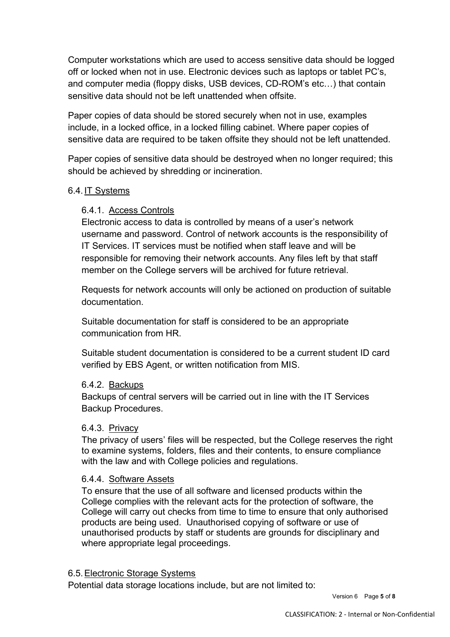Computer workstations which are used to access sensitive data should be logged off or locked when not in use. Electronic devices such as laptops or tablet PC's, and computer media (floppy disks, USB devices, CD-ROM's etc…) that contain sensitive data should not be left unattended when offsite.

Paper copies of data should be stored securely when not in use, examples include, in a locked office, in a locked filling cabinet. Where paper copies of sensitive data are required to be taken offsite they should not be left unattended.

Paper copies of sensitive data should be destroyed when no longer required; this should be achieved by shredding or incineration.

#### 6.4.IT Systems

#### 6.4.1. Access Controls

Electronic access to data is controlled by means of a user's network username and password. Control of network accounts is the responsibility of IT Services. IT services must be notified when staff leave and will be responsible for removing their network accounts. Any files left by that staff member on the College servers will be archived for future retrieval.

Requests for network accounts will only be actioned on production of suitable documentation.

Suitable documentation for staff is considered to be an appropriate communication from HR.

Suitable student documentation is considered to be a current student ID card verified by EBS Agent, or written notification from MIS.

#### 6.4.2. Backups

Backups of central servers will be carried out in line with the IT Services Backup Procedures.

#### 6.4.3. Privacy

The privacy of users' files will be respected, but the College reserves the right to examine systems, folders, files and their contents, to ensure compliance with the law and with College policies and regulations.

#### 6.4.4. Software Assets

To ensure that the use of all software and licensed products within the College complies with the relevant acts for the protection of software, the College will carry out checks from time to time to ensure that only authorised products are being used. Unauthorised copying of software or use of unauthorised products by staff or students are grounds for disciplinary and where appropriate legal proceedings.

#### 6.5.Electronic Storage Systems

Potential data storage locations include, but are not limited to:

Version 6 Page **5** of **8**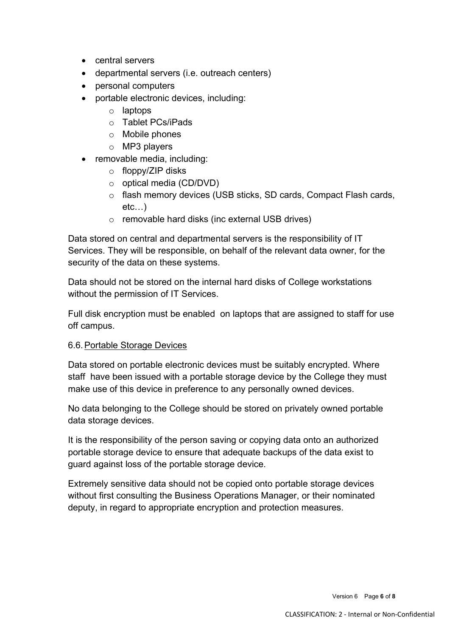- central servers
- departmental servers (i.e. outreach centers)
- personal computers
- portable electronic devices, including:
	- o laptops
	- o Tablet PCs/iPads
	- o Mobile phones
	- o MP3 players
- removable media, including:
	- o floppy/ZIP disks
	- o optical media (CD/DVD)
	- o flash memory devices (USB sticks, SD cards, Compact Flash cards, etc…)
	- o removable hard disks (inc external USB drives)

Data stored on central and departmental servers is the responsibility of IT Services. They will be responsible, on behalf of the relevant data owner, for the security of the data on these systems.

Data should not be stored on the internal hard disks of College workstations without the permission of IT Services.

Full disk encryption must be enabled on laptops that are assigned to staff for use off campus.

#### 6.6.Portable Storage Devices

Data stored on portable electronic devices must be suitably encrypted. Where staff have been issued with a portable storage device by the College they must make use of this device in preference to any personally owned devices.

No data belonging to the College should be stored on privately owned portable data storage devices.

It is the responsibility of the person saving or copying data onto an authorized portable storage device to ensure that adequate backups of the data exist to guard against loss of the portable storage device.

Extremely sensitive data should not be copied onto portable storage devices without first consulting the Business Operations Manager, or their nominated deputy, in regard to appropriate encryption and protection measures.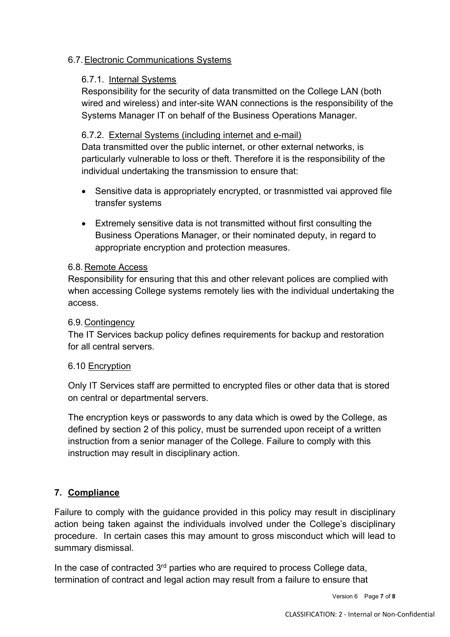## 6.7.Electronic Communications Systems

## 6.7.1. Internal Systems

Responsibility for the security of data transmitted on the College LAN (both wired and wireless) and inter-site WAN connections is the responsibility of the Systems Manager IT on behalf of the Business Operations Manager.

## 6.7.2. External Systems (including internet and e-mail)

Data transmitted over the public internet, or other external networks, is particularly vulnerable to loss or theft. Therefore it is the responsibility of the individual undertaking the transmission to ensure that:

- Sensitive data is appropriately encrypted, or trasnmistted vai approved file transfer systems
- Extremely sensitive data is not transmitted without first consulting the Business Operations Manager, or their nominated deputy, in regard to appropriate encryption and protection measures.

## 6.8.Remote Access

Responsibility for ensuring that this and other relevant polices are complied with when accessing College systems remotely lies with the individual undertaking the access.

## 6.9.Contingency

The IT Services backup policy defines requirements for backup and restoration for all central servers.

## 6.10 Encryption

Only IT Services staff are permitted to encrypted files or other data that is stored on central or departmental servers.

The encryption keys or passwords to any data which is owed by the College, as defined by section 2 of this policy, must be surrended upon receipt of a written instruction from a senior manager of the College. Failure to comply with this instruction may result in disciplinary action.

## **7. Compliance**

Failure to comply with the guidance provided in this policy may result in disciplinary action being taken against the individuals involved under the College's disciplinary procedure. In certain cases this may amount to gross misconduct which will lead to summary dismissal.

In the case of contracted  $3<sup>rd</sup>$  parties who are required to process College data, termination of contract and legal action may result from a failure to ensure that

Version 6 Page **7** of **8**